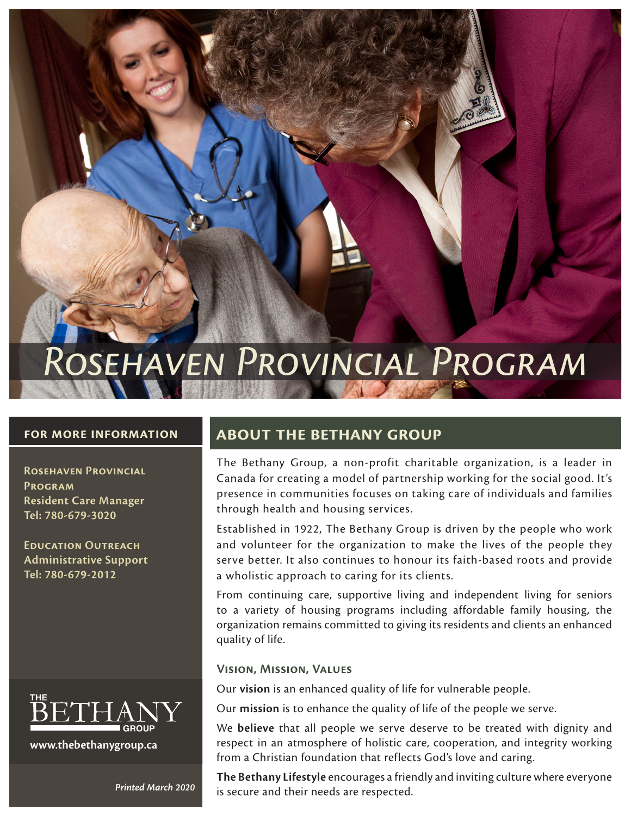# *Rosehaven Provincial Program*

### **for more information**

**Rosehaven Provincial Program Resident Care Manager Tel: 780-679-3020**

**Education Outreach Administrative Support Tel: 780-679-2012**



**www.thebethanygroup.ca**

## **about the bethany group**

The Bethany Group, a non-profit charitable organization, is a leader in Canada for creating a model of partnership working for the social good. It's presence in communities focuses on taking care of individuals and families through health and housing services.

Established in 1922, The Bethany Group is driven by the people who work and volunteer for the organization to make the lives of the people they serve better. It also continues to honour its faith-based roots and provide a wholistic approach to caring for its clients.

From continuing care, supportive living and independent living for seniors to a variety of housing programs including affordable family housing, the organization remains committed to giving its residents and clients an enhanced quality of life.

## **Vision, Mission, Values**

Our **vision** is an enhanced quality of life for vulnerable people.

Our **mission** is to enhance the quality of life of the people we serve.

We **believe** that all people we serve deserve to be treated with dignity and respect in an atmosphere of holistic care, cooperation, and integrity working from a Christian foundation that reflects God's love and caring.

**The Bethany Lifestyle** encourages a friendly and inviting culture where everyone is secure and their needs are respected. *Printed March 2020*